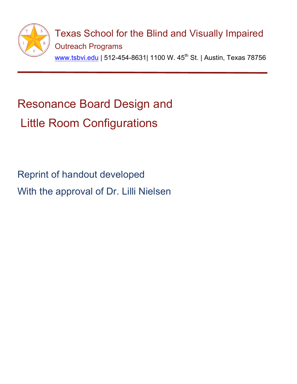

## Resonance Board Design and Little Room Configurations

Reprint of handout developed With the approval of Dr. Lilli Nielsen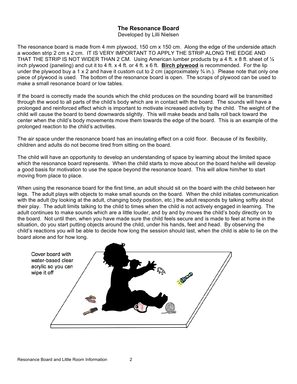## **The Resonance Board**

Developed by Lilli Nielsen

The resonance board is made from 4 mm plywood, 150 cm x 150 cm. Along the edge of the underside attach a wooden strip 2 cm x 2 cm. IT IS VERY IMPORTANT TO APPLY THE STRIP ALONG THE EDGE AND THAT THE STRIP IS NOT WIDER THAN 2 CM. Using American lumber products by a 4 ft. x 8 ft. sheet of  $\mathcal{U}$ inch plywood (paneling) and cut it to 4 ft. x 4 ft. or 4 ft. x 6 ft. **Birch plywood** is recommended. For the lip under the plywood buy a 1 x 2 and have it custom cut to 2 cm (approximately  $\frac{3}{4}$  in.). Please note that only one piece of plywood is used. The bottom of the resonance board is open. The scraps of plywood can be used to make a small resonance board or low tables.

If the board is correctly made the sounds which the child produces on the sounding board will be transmitted through the wood to all parts of the child's body which are in contact with the board. The sounds will have a prolonged and reinforced effect which is important to motivate increased activity by the child. The weight of the child will cause the board to bend downwards slightly. This will make beads and balls roll back toward the center when the child's body movements move them towards the edge of the board. This is an example of the prolonged reaction to the child's activities.

The air space under the resonance board has an insulating effect on a cold floor. Because of its flexibility, children and adults do not become tired from sitting on the board.

The child will have an opportunity to develop an understanding of space by learning about the limited space which the resonance board represents. When the child starts to move about on the board he/she will develop a good basis for motivation to use the space beyond the resonance board. This will allow him/her to start moving from place to place.

When using the resonance board for the first time, an adult should sit on the board with the child between her legs. The adult plays with objects to make small sounds on the board. When the child initiates communication with the adult (by looking at the adult, changing body position, etc.) the adult responds by talking softly about their play. The adult limits talking to the child to times when the child is not actively engaged in learning. The adult continues to make sounds which are a little louder, and by and by moves the child's body directly on to the board. Not until then, when you have made sure the child feels secure and is made to feel at home in the situation, do you start putting objects around the child, under his hands, feet and head. By observing the child's reactions you will be able to decide how long the session should last, when the child is able to lie on the board alone and for how long.

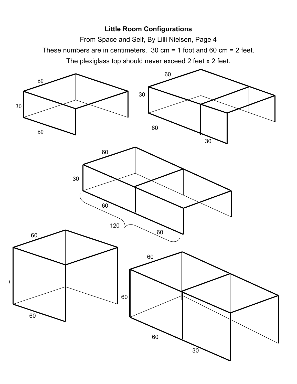## **Little Room Configurations**

From Space and Self, By Lilli Nielsen, Page 4 These numbers are in centimeters. 30 cm = 1 foot and 60 cm = 2 feet. The plexiglass top should never exceed 2 feet x 2 feet.